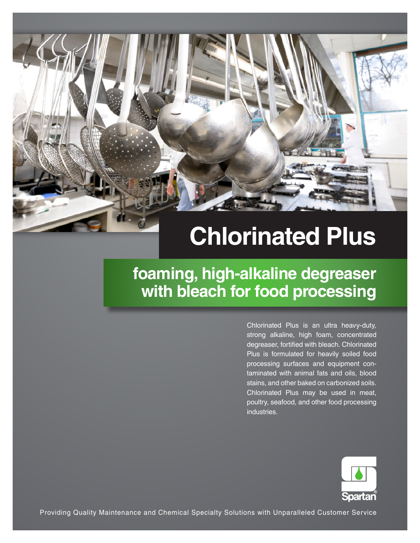# **Chlorinated Plus**

**foaming, high-alkaline degreaser with bleach for food processing**

> Chlorinated Plus is an ultra heavy-duty, strong alkaline, high foam, concentrated degreaser, fortified with bleach. Chlorinated Plus is formulated for heavily soiled food processing surfaces and equipment contaminated with animal fats and oils, blood stains, and other baked on carbonized soils. Chlorinated Plus may be used in meat, poultry, seafood, and other food processing industries.



Providing Quality Maintenance and Chemical Specialty Solutions with Unparalleled Customer Service